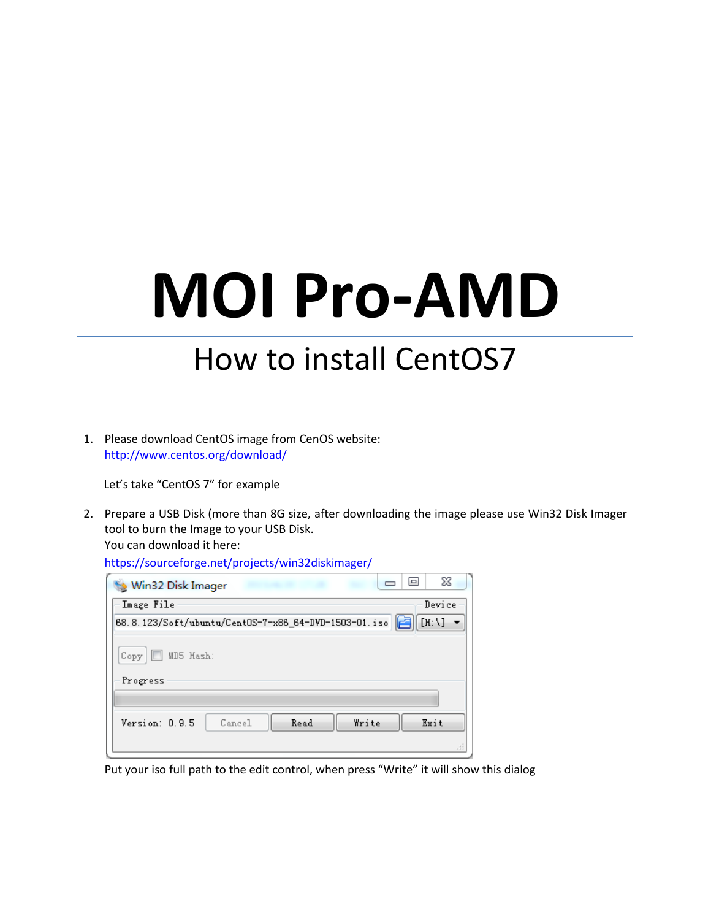## **MOI Pro-AMD**

## How to install CentOS7

1. Please download CentOS image from CenOS website: <http://www.centos.org/download/>

Let's take "CentOS 7" for example

2. Prepare a USB Disk (more than 8G size, after downloading the image please use Win32 Disk Imager tool to burn the Image to your USB Disk. You can download it here:

| nteps://source.orge.net/projects/winszuiskimager/    |                                       |
|------------------------------------------------------|---------------------------------------|
| Win32 Disk Imager                                    | X<br>$\Box$                           |
| Image File                                           | Device                                |
| 68.8.123/Soft/ubuntu/Cent0S-7-x86_64-DVD-1503-01.iso | $[H: \setminus]$ $\blacktriangledown$ |
| MD5 Hash:<br>Сору                                    |                                       |
| Progress                                             |                                       |
|                                                      |                                       |
| Read<br>Write<br>Version: 0.9.5<br>Cancel            | Exit                                  |
|                                                      | лi                                    |

<https://sourceforge.net/projects/win32diskimager/>

Put your iso full path to the edit control, when press "Write" it will show this dialog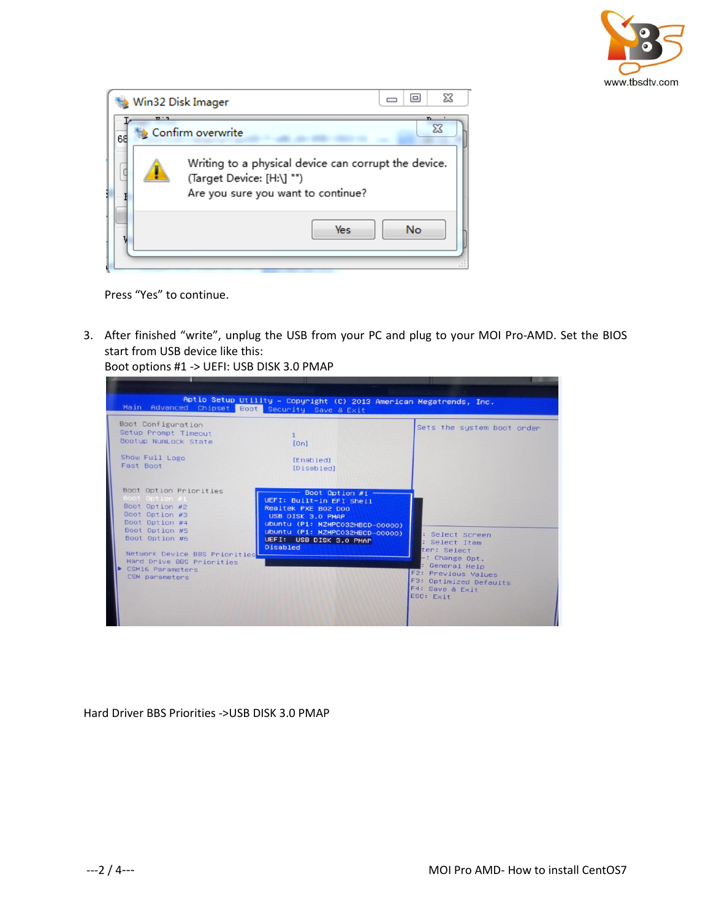

|    | Win32 Disk Imager |                                                                                                                         |            | □   | 23      |
|----|-------------------|-------------------------------------------------------------------------------------------------------------------------|------------|-----|---------|
| 68 | $T^{\prime}$      | Confirm overwrite                                                                                                       |            |     | n.<br>Σ |
|    |                   | Writing to a physical device can corrupt the device.<br>(Target Device: [H:\] "")<br>Are you sure you want to continue? |            |     |         |
|    |                   |                                                                                                                         | <b>Yes</b> | No. |         |

Press "Yes" to continue.

3. After finished "write", unplug the USB from your PC and plug to your MOI Pro-AMD. Set the BIOS start from USB device like this:

Aptio Setup Utility – Copyright (C) 2013 American Megatrends, Inc.<br>ed Chipset Boot Security Save & Exit Main Advanced Boot Configuration Sets the system boot order Setup Prompt Timeout Bootup NumLock State  $[0n]$ Show Full Logo  $[End]$ Fast Boot [Disabled] Boot Option #1<br>WEFI: Built-in EFI Shell<br>Realtek PKE BO2 DO0<br>USB DISK 3.0 PMAP<br>Ubuntu (P1: NZMPCO32HBCD-00000)<br>Ubuntu (P1: NZMPCO32HBCD-00000)<br>UEFI: USB DISK 3.0 PMAP<br>Disabled Boot Option Priorities Boot Option #2 Boot Option #3<br>Boot Option #4 Boot Option #5<br>Boot Option #6 Select Screen Select Item<br>:er: Select Network Device BBS Priorities<br>Hard Drive BBS Priorities<br>CSM16 Parameters<br>CSM parameters Change Opt. -: Change Opt.<br>F2: General Help<br>F2: Previous Values<br>F3: Optimized Defaults<br>F4: Save & Exit<br>ESC: Exit

Boot options #1 -> UEFI: USB DISK 3.0 PMAP

Hard Driver BBS Priorities ->USB DISK 3.0 PMAP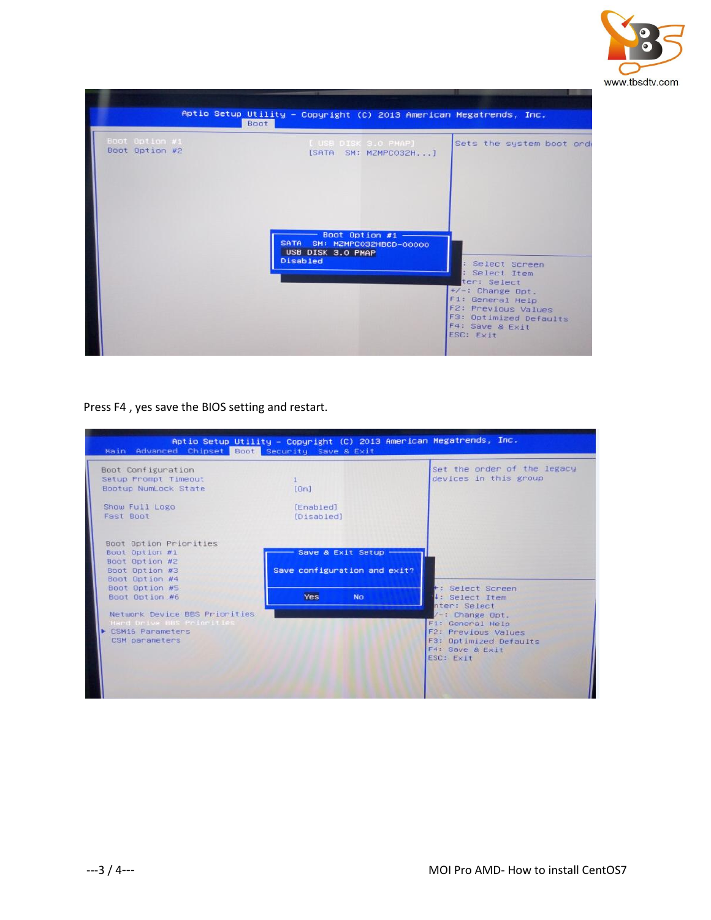

|                                  | Aptio Setup Utility - Copyright (C) 2013 American Megatrends, Inc.<br>Boot                |                                                                                                                                                                                   |
|----------------------------------|-------------------------------------------------------------------------------------------|-----------------------------------------------------------------------------------------------------------------------------------------------------------------------------------|
| Boot Option #1<br>Boot Option #2 | [ USB DISK 3.0 PMAP]<br>[SATA SM: MZMPC032H]                                              | Sets the system boot orde                                                                                                                                                         |
|                                  | Boot Option #1 $-$<br>SATA SM: MZMPC032HBCD-00000<br>USB DISK 3.0 PMAP<br><b>Disabled</b> | : Select Screen<br>: Select Item<br>ter: Select<br>$+\angle -$ : Change Opt.<br>F1: General Help<br>F2: Previous Values<br>F3: Optimized Defaults<br>F4: Save & Exit<br>ESC: Exit |

Press F4 , yes save the BIOS setting and restart.

| Main Advanced Chipset Boot Security Save & Exit                                                         | Aptio Setup Utility – Copyright (C) 2013 American Megatrends, Inc. |                                                                                                                                |
|---------------------------------------------------------------------------------------------------------|--------------------------------------------------------------------|--------------------------------------------------------------------------------------------------------------------------------|
| Boot Configuration<br>Setup Prompt Timeout<br>Bootup NumLock State                                      | [0n]                                                               | Set the order of the legacy<br>devices in this group                                                                           |
| Show Full Logo<br>Fast Boot                                                                             | [Enabled]<br>[Disabled]                                            |                                                                                                                                |
| Boot Option Priorities<br>Boot Option #1                                                                | Save & Exit Setup -                                                |                                                                                                                                |
| Boot Option #2<br>Boot Option #3<br>Boot Option #4                                                      | Save configuration and exit?                                       |                                                                                                                                |
| Boot Option #5<br>Boot Option #6                                                                        | Yes<br><b>No</b>                                                   | +: Select Screen<br>4: Select Item<br>nter: Select                                                                             |
| Network Device BBS Priorities<br>Hard Drive BBS Priorities<br><b>CSM16 Parameters</b><br>CSM parameters |                                                                    | $\sqrt{-1}$ : Change Opt.<br>F1: General Help<br>F2: Previous Values<br>F3: Optimized Defaults<br>F4: Save & Exit<br>ESC: Exit |
|                                                                                                         |                                                                    |                                                                                                                                |